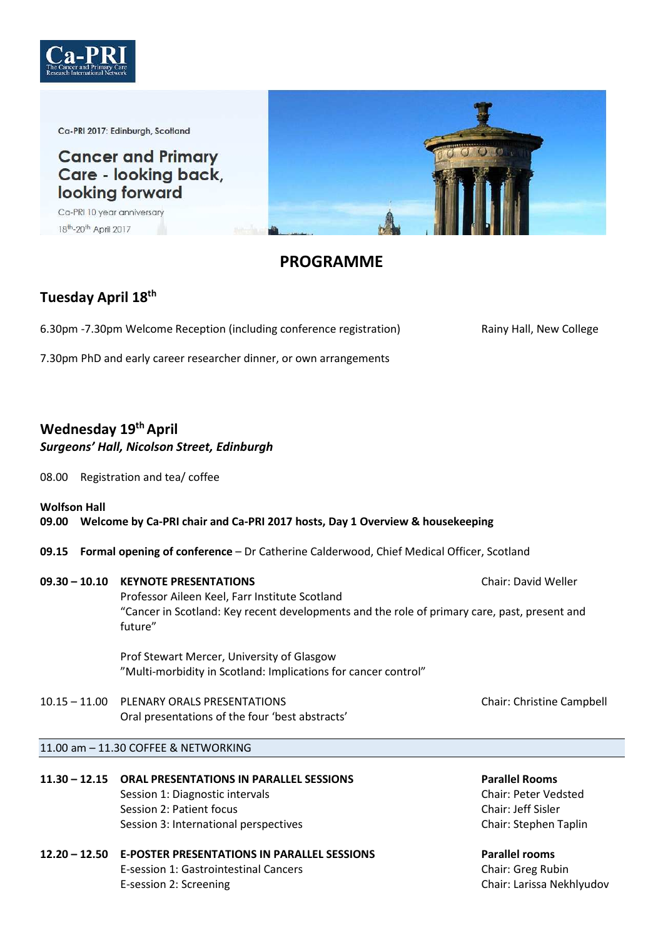

Ca-PRI 2017: Edinburgh, Scotland

**Cancer and Primary** Care - looking back, looking forward

Ca-PRI 10 year anniversary 18<sup>th</sup>-20<sup>th</sup> April 2017



# **PROGRAMME**

# **Tuesday April 18th**

6.30pm -7.30pm Welcome Reception (including conference registration) Rainy Hall, New College

7.30pm PhD and early career researcher dinner, or own arrangements

# **Wednesday 19th April**

### *Surgeons' Hall, Nicolson Street, Edinburgh*

- 08.00 Registration and tea/ coffee
- **Wolfson Hall 09.00 Welcome by Ca-PRI chair and Ca-PRI 2017 hosts, Day 1 Overview & housekeeping**
- **09.15 Formal opening of conference** Dr Catherine Calderwood, Chief Medical Officer, Scotland

### **09.30 – 10.10 KEYNOTE PRESENTATIONS** Chair: David Weller

 Professor Aileen Keel, Farr Institute Scotland "Cancer in Scotland: Key recent developments and the role of primary care, past, present and future"

 Prof Stewart Mercer, University of Glasgow "Multi-morbidity in Scotland: Implications for cancer control"

10.15 – 11.00 PLENARY ORALS PRESENTATIONS Chair: Christine Campbell Oral presentations of the four 'best abstracts'

#### 11.00 am – 11.30 COFFEE & NETWORKING

- **11.30 12.15 ORAL PRESENTATIONS IN PARALLEL SESSIONS Parallel Rooms**  Session 1: Diagnostic intervals Chair: Peter Vedsted Session 2: Patient focus Chair: Jeff Sisler Session 3: International perspectives Chair: Stephen Taplin
- **12.20 12.50 E-POSTER PRESENTATIONS IN PARALLEL SESSIONS Parallel rooms**  E-session 1: Gastrointestinal Cancers Chair: Greg Rubin E-session 2: Screening Chair: Larissa Nekhlyudov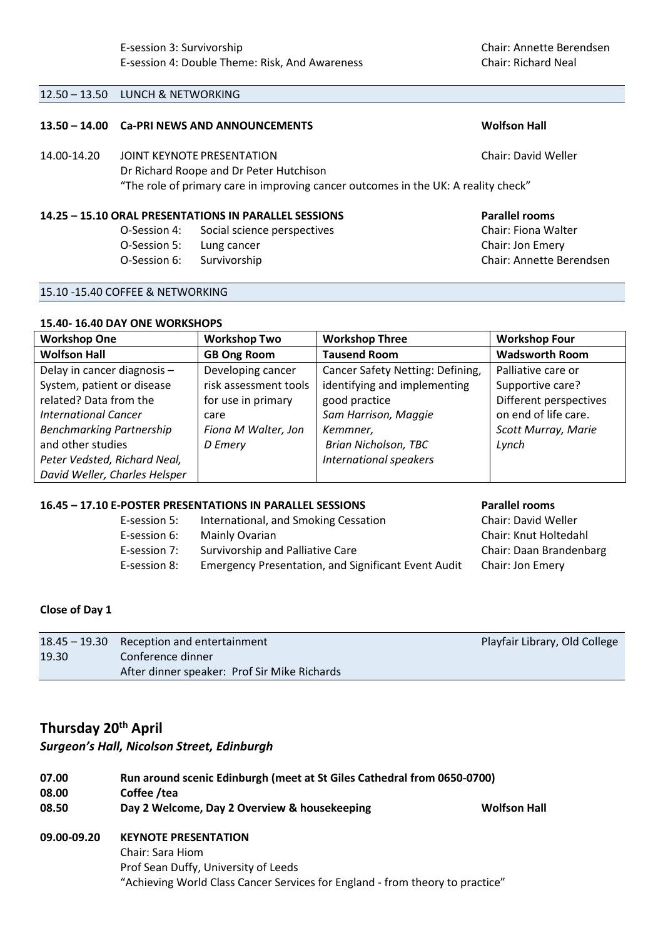#### 12.50 – 13.50 LUNCH & NETWORKING

#### **13.50 – 14.00 Ca-PRI NEWS AND ANNOUNCEMENTS Wolfson Hall**

#### 14.00-14.20 JOINT KEYNOTE PRESENTATION Chair: David Weller

 Dr Richard Roope and Dr Peter Hutchison "The role of primary care in improving cancer outcomes in the UK: A reality check"

#### **14.25 – 15.10 ORAL PRESENTATIONS IN PARALLEL SESSIONS Parallel rooms**

 O-Session 4: Social science perspectives Chair: Fiona Walter O-Session 5: Lung cancer Chair: Jon Emery O-Session 6: Survivorship Chair: Annette Berendsen

#### 15.10 -15.40 COFFEE & NETWORKING

#### **15.40- 16.40 DAY ONE WORKSHOPS**

| <b>Workshop One</b>             | <b>Workshop Two</b>   | <b>Workshop Three</b>            | <b>Workshop Four</b>   |
|---------------------------------|-----------------------|----------------------------------|------------------------|
| <b>Wolfson Hall</b>             | <b>GB Ong Room</b>    | <b>Tausend Room</b>              | <b>Wadsworth Room</b>  |
| Delay in cancer diagnosis -     | Developing cancer     | Cancer Safety Netting: Defining, | Palliative care or     |
| System, patient or disease      | risk assessment tools | identifying and implementing     | Supportive care?       |
| related? Data from the          | for use in primary    | good practice                    | Different perspectives |
| <b>International Cancer</b>     | care                  | Sam Harrison, Maggie             | on end of life care.   |
| <b>Benchmarking Partnership</b> | Fiona M Walter, Jon   | Kemmner,                         | Scott Murray, Marie    |
| and other studies               | D Emery               | <b>Brian Nicholson, TBC</b>      | Lynch                  |
| Peter Vedsted, Richard Neal,    |                       | International speakers           |                        |
| David Weller, Charles Helsper   |                       |                                  |                        |

### **16.45 – 17.10 E-POSTER PRESENTATIONS IN PARALLEL SESSIONS Parallel rooms**

| E-session 5: | International, and Smoking Cessation                       | Chair: David Weller     |
|--------------|------------------------------------------------------------|-------------------------|
| E-session 6: | Mainly Ovarian                                             | Chair: Knut Holtedahl   |
| E-session 7: | Survivorship and Palliative Care                           | Chair: Daan Brandenbarg |
| E-session 8: | <b>Emergency Presentation, and Significant Event Audit</b> | Chair: Jon Emery        |

#### **Close of Day 1**

|       | 18.45 – 19.30 Reception and entertainment    | Playfair Library, Old College |
|-------|----------------------------------------------|-------------------------------|
| 19.30 | Conference dinner                            |                               |
|       | After dinner speaker: Prof Sir Mike Richards |                               |

# **Thursday 20th April**

#### *Surgeon's Hall, Nicolson Street, Edinburgh*

| 07.00       | Run around scenic Edinburgh (meet at St Giles Cathedral from 0650-0700)     |                     |
|-------------|-----------------------------------------------------------------------------|---------------------|
| 08.00       | Coffee /tea                                                                 |                     |
| 08.50       | Day 2 Welcome, Day 2 Overview & housekeeping                                | <b>Wolfson Hall</b> |
| 09.00-09.20 | <b>KEYNOTE PRESENTATION</b><br>$C0$ $\sim$ $C0$ $\sim$ $\sim$ $\sim$ $\sim$ |                     |

 Chair: Sara Hiom Prof Sean Duffy, University of Leeds "Achieving World Class Cancer Services for England - from theory to practice"